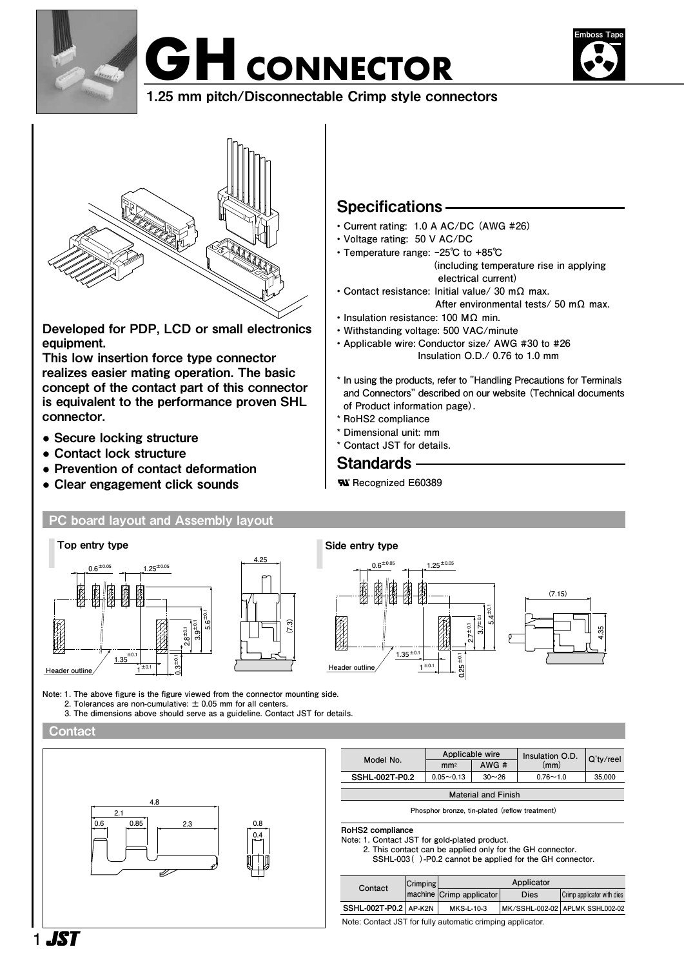





1.25 mm pitch/Disconnectable Crimp style connectors



Developed for PDP, LCD or small electronics equipment.

This low insertion force type connector realizes easier mating operation. The basic concept of the contact part of this connector is equivalent to the performance proven SHL connector.

- Secure locking structure
- Contact lock structure
- Prevention of contact deformation
- Clear engagement click sounds

# Specifications

- **Current rating: 1.0 A AC/DC (AWG #26)**
- **Voltage rating: 50 V AC/DC**
- **Temperature range: -25℃ to +85℃ (including temperature rise in applying electrical current)**
- **Contact resistance: Initial value/ 30 mΩ max.**
	- **After environmental tests/ 50 mΩ max.**
- **Insulation resistance: 100 MΩ min. • Withstanding voltage: 500 VAC/minute**
- **Applicable wire: Conductor size/ AWG #30 to #26 Insulation O.D./ 0.76 to 1.0 mm**
- **\* In using the products, refer to "Handling Precautions for Terminals and Connectors" described on our website (Technical documents of Product information page).**
- **\* RoHS2 compliance**
- **\* Dimensional unit: mm ® ® ®**
	- **\* Contact JST for details.**

## Standards **®**

 **Recognized E60389 ®**



RoHS2 compliance

**Note: 1. Contact JST for gold-plated product.**

**2. This contact can be applied only for the GH connector. SSHL-003( )-P0.2 cannot be applied for the GH connector.**

| Contact               | Crimping |                            | Applicator |                                 |
|-----------------------|----------|----------------------------|------------|---------------------------------|
|                       |          | machine   Crimp applicator | Dies       | Crimp applicator with dies      |
| SSHL-002T-P0.2 AP-K2N |          | MKS-L-10-3                 |            | MK/SSHL-002-02 APLMK SSHL002-02 |

Note: Contact JST for fully automatic crimping applicator.

.IST **1**

# **2.1 2.3 0.6 0.85 0.8 0.4** Ð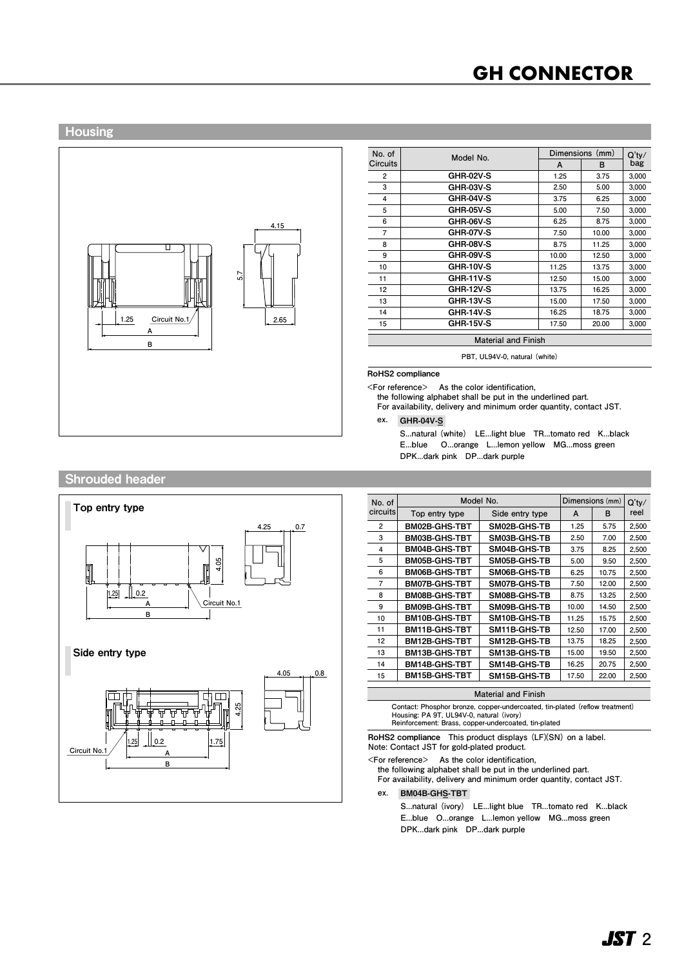# **GH CONNECTOR**

#### Housing



| No. of         | Model No.                  |       | Dimensions (mm) |                 |
|----------------|----------------------------|-------|-----------------|-----------------|
| Circuits       |                            | A     | в               | $Q'$ ty/<br>bag |
| 2              | <b>GHR-02V-S</b>           | 1.25  | 3.75            | 3,000           |
| 3              | <b>GHR-03V-S</b>           | 2.50  | 5.00            | 3,000           |
| 4              | GHR-04V-S                  | 3.75  | 6.25            | 3,000           |
| 5              | <b>GHR-05V-S</b>           | 5.00  | 7.50            | 3,000           |
| 6              | <b>GHR-06V-S</b>           | 6.25  | 8.75            | 3.000           |
| $\overline{7}$ | <b>GHR-07V-S</b>           | 7.50  | 10.00           | 3,000           |
| 8              | <b>GHR-08V-S</b>           | 8.75  | 11.25           | 3,000           |
| 9              | <b>GHR-09V-S</b>           | 10.00 | 12.50           | 3,000           |
| 10             | <b>GHR-10V-S</b>           | 11.25 | 13.75           | 3,000           |
| 11             | GHR-11V-S                  | 12.50 | 15.00           | 3,000           |
| 12             | <b>GHR-12V-S</b>           | 13.75 | 16.25           | 3,000           |
| 13             | <b>GHR-13V-S</b>           | 15.00 | 17.50           | 3,000           |
| 14             | <b>GHR-14V-S</b>           | 16.25 | 18.75           | 3,000           |
| 15             | <b>GHR-15V-S</b>           | 17.50 | 20.00           | 3.000           |
|                | <b>Material and Finish</b> |       |                 |                 |

**PBT, UL94V-0, natural (white)**

RoHS2 compliance

**<For reference> As the color identification,**

**the following alphabet shall be put in the underlined part.**

**For availability, delivery and minimum order quantity, contact JST.**

**ex.** GHR-04V-S-

**S...natural (white) LE...light blue TR...tomato red K...black E...blue O...orange L...lemon yellow MG...moss green DPK...dark pink DP...dark purple**

#### Shrouded header



| No. of          |                      | Model No.       |       | Dimensions (mm) | Q'tv/<br>reel |
|-----------------|----------------------|-----------------|-------|-----------------|---------------|
| <b>circuits</b> | Top entry type       | Side entry type | A     | B               |               |
| 2               | <b>BM02B-GHS-TBT</b> | SM02B-GHS-TB    | 1.25  | 5.75            | 2,500         |
| 3               | <b>BM03B-GHS-TBT</b> | SM03B-GHS-TB    | 2.50  | 7.00            | 2,500         |
| 4               | <b>BM04B-GHS-TBT</b> | SM04B-GHS-TB    | 3.75  | 8.25            | 2,500         |
| 5               | <b>BM05B-GHS-TBT</b> | SM05B-GHS-TB    | 5.00  | 9.50            | 2,500         |
| 6               | <b>BM06B-GHS-TBT</b> | SM06B-GHS-TB    | 6.25  | 10.75           | 2,500         |
| $\overline{7}$  | <b>BM07B-GHS-TBT</b> | SM07B-GHS-TB    | 7.50  | 12.00           | 2,500         |
| 8               | <b>BM08B-GHS-TBT</b> | SM08B-GHS-TB    | 8.75  | 13.25           | 2,500         |
| 9               | <b>BM09B-GHS-TBT</b> | SM09B-GHS-TB    | 10.00 | 14.50           | 2,500         |
| 10              | <b>BM10B-GHS-TBT</b> | SM10B-GHS-TB    | 11.25 | 15.75           | 2,500         |
| 11              | <b>BM11B-GHS-TBT</b> | SM11B-GHS-TB    | 12.50 | 17.00           | 2,500         |
| 12              | <b>BM12B-GHS-TBT</b> | SM12B-GHS-TB    | 13.75 | 18.25           | 2,500         |
| 13              | <b>BM13B-GHS-TBT</b> | SM13B-GHS-TB    | 15.00 | 19.50           | 2,500         |
| 14              | <b>BM14B-GHS-TBT</b> | SM14B-GHS-TB    | 16.25 | 20.75           | 2,500         |
| 15              | <b>BM15B-GHS-TBT</b> | SM15B-GHS-TB    | 17.50 | 22.00           | 2,500         |

| Malendi dhu Finish                                                          |  |
|-----------------------------------------------------------------------------|--|
| Contact: Phosphor bronze, copper-undercoated, tin-plated (reflow treatment) |  |
| Housing: PA 9T. UL94V-0. natural (ivory)                                    |  |
| Reinforcement: Brass, copper-undercoated, tin-plated                        |  |

RoHS2 compliance **This product displays (LF)(SN) on a label. Note: Contact JST for gold-plated product.**

**<For reference> As the color identification,**

**the following alphabet shall be put in the underlined part. For availability, delivery and minimum order quantity, contact JST.**

**ex.** BM04B-GHS-TBT-

**S...natural (ivory) LE...light blue TR...tomato red K...black E...blue O...orange L...lemon yellow MG...moss green DPK...dark pink DP...dark purple**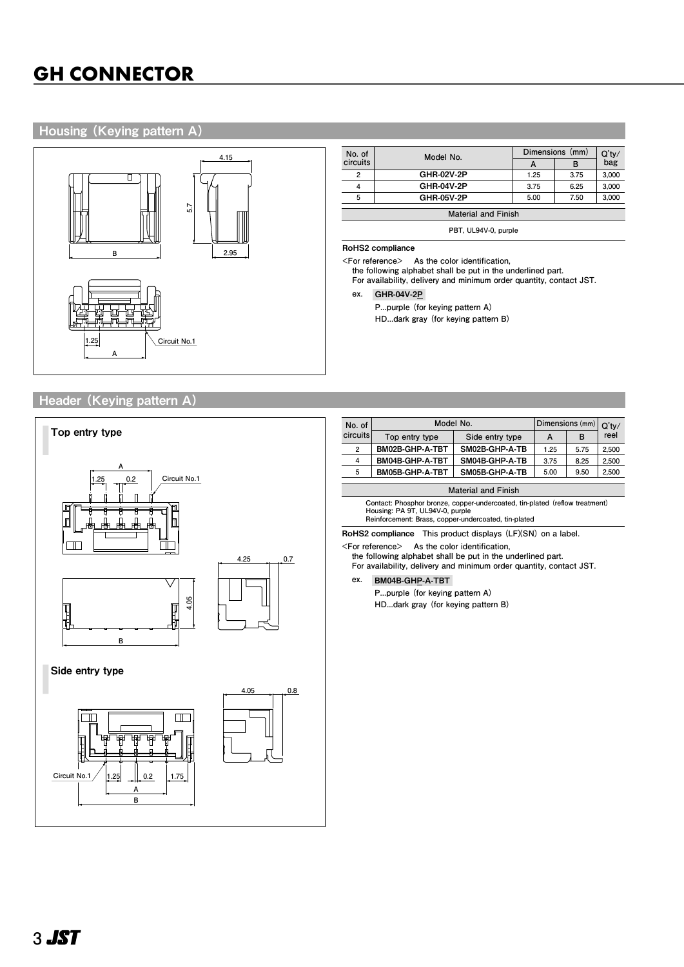### Housing (Keying pattern A)



| No. of   | Model No.                  | Dimensions (mm) | $Q'$ ty/ |       |  |
|----------|----------------------------|-----------------|----------|-------|--|
| circuits |                            | A               | в        | bag   |  |
| 2        | GHR-02V-2P                 | 1.25            | 3.75     | 3,000 |  |
|          | GHR-04V-2P                 |                 | 6.25     | 3,000 |  |
| 5        | GHR-05V-2P                 | 5.00            | 7.50     | 3,000 |  |
|          | <b>Material and Finish</b> |                 |          |       |  |

**PBT, UL94V-0, purple**

#### RoHS2 compliance

**<For reference> As the color identification,**

**the following alphabet shall be put in the underlined part. For availability, delivery and minimum order quantity, contact JST.**

#### **ex.** GHR-04V-2P-

**P...purple (for keying pattern A)** 

**HD...dark gray (for keying pattern B)**

## Header (Keying pattern A)



| No. of     | Model No.       |                 | Dimensions (mm) Q'ty/ |      |       |  |
|------------|-----------------|-----------------|-----------------------|------|-------|--|
| circuits l | Top entry type  | Side entry type | A                     | в    | reel  |  |
| 2          | BM02B-GHP-A-TBT | SM02B-GHP-A-TB  | 1.25                  | 5.75 | 2,500 |  |
| 4          | BM04B-GHP-A-TBT | SM04B-GHP-A-TB  | 3.75                  | 8.25 | 2,500 |  |
| 5          | BM05B-GHP-A-TBT | SM05B-GHP-A-TB  | 5.00                  | 9.50 | 2,500 |  |
|            |                 |                 |                       |      |       |  |

**Contact: Phosphor bronze, copper-undercoated, tin-plated (reflow treatment) Housing: PA 9T, UL94V-0, purple Reinforcement: Brass, copper-undercoated, tin-plated**

RoHS2 compliance **This product displays (LF)(SN) on a label.**

**<For reference> As the color identification,**

**the following alphabet shall be put in the underlined part.**

**For availability, delivery and minimum order quantity, contact JST.**

**P...purple (for keying pattern A)** 

**HD...dark gray (for keying pattern B)**